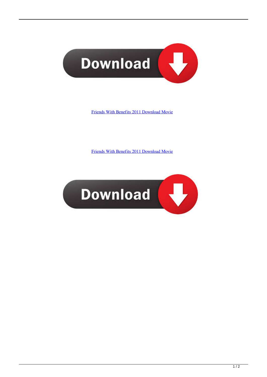

[Friends With Benefits 2011 Download Movie](http://evacdir.com/franchised?RnJpZW5kcyBXaXRoIEJlbmVmaXRzIDIwMTEgRG93bmxvYWQgTW92aWURnJ=lumi&inverting=ZG93bmxvYWR8eWU1TTJKM1pUZDNmSHd4TlRrNE1qazRORFV3Zkh3eU16STNmSHdvUlU1SFNVNUZLU0JFY25Wd1lXd2dXMFpwYkdVZ1ZYQnNiMkZrWFE.dependency.)

[Friends With Benefits 2011 Download Movie](http://evacdir.com/franchised?RnJpZW5kcyBXaXRoIEJlbmVmaXRzIDIwMTEgRG93bmxvYWQgTW92aWURnJ=lumi&inverting=ZG93bmxvYWR8eWU1TTJKM1pUZDNmSHd4TlRrNE1qazRORFV3Zkh3eU16STNmSHdvUlU1SFNVNUZLU0JFY25Wd1lXd2dXMFpwYkdVZ1ZYQnNiMkZrWFE.dependency.)